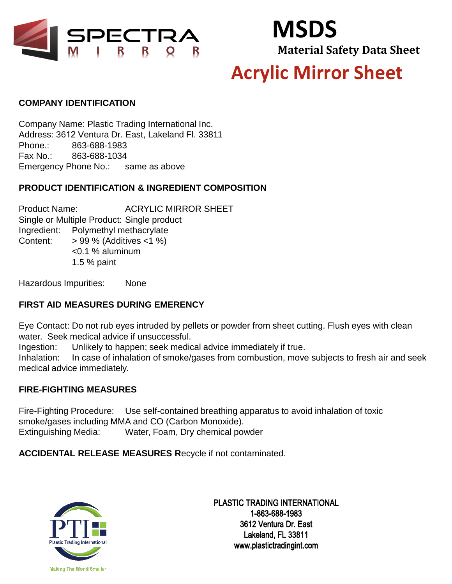

**MSDS** 

**Material Safety Data Sheet**

## **Acrylic Mirror Sheet**

#### **COMPANY IDENTIFICATION**

Company Name: Plastic Trading International Inc. Address: 3612 Ventura Dr. East, Lakeland Fl. 33811 Phone.: 863-688-1983 Fax No.: 863-688-1034 Emergency Phone No.: same as above

#### **PRODUCT IDENTIFICATION & INGREDIENT COMPOSITION**

Product Name: ACRYLIC MIRROR SHEET Single or Multiple Product: Single product Ingredient: Polymethyl methacrylate Content:  $> 99 \%$  (Additives <1 %)  $< 0.1$  % aluminum 1.5 % paint

Hazardous Impurities: None

#### **FIRST AID MEASURES DURING EMERENCY**

Eye Contact: Do not rub eyes intruded by pellets or powder from sheet cutting. Flush eyes with clean water. Seek medical advice if unsuccessful.

Ingestion: Unlikely to happen; seek medical advice immediately if true.

Inhalation: In case of inhalation of smoke/gases from combustion, move subjects to fresh air and seek medical advice immediately.

#### **FIRE-FIGHTING MEASURES**

Fire-Fighting Procedure: Use self-contained breathing apparatus to avoid inhalation of toxic smoke/gases including MMA and CO (Carbon Monoxide). Extinguishing Media: Water, Foam, Dry chemical powder

**ACCIDENTAL RELEASE MEASURES R**ecycle if not contaminated.



PLASTIC TRADING INTERNATIONAL 1-863-688-1983 3612 Ventura Dr. East Lakeland, FL 33811 www.plastictradingint.com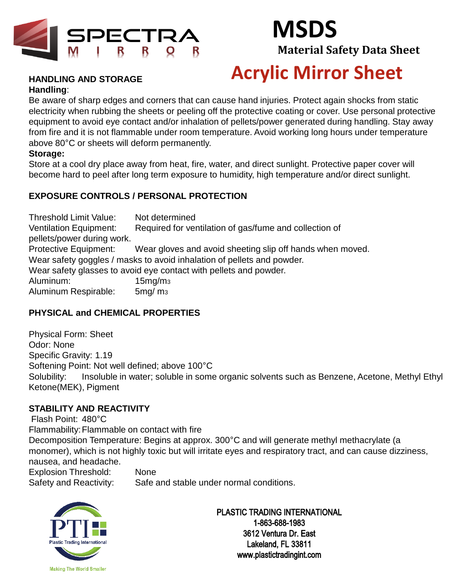

# **MSDS**

**Material Safety Data Sheet**

# **Acrylic Mirror Sheet**

#### **HANDLING AND STORAGE Handling**:

Be aware of sharp edges and corners that can cause hand injuries. Protect again shocks from static electricity when rubbing the sheets or peeling off the protective coating or cover. Use personal protective equipment to avoid eye contact and/or inhalation of pellets/power generated during handling. Stay away from fire and it is not flammable under room temperature. Avoid working long hours under temperature above 80°C or sheets will deform permanently.

#### **Storage:**

Store at a cool dry place away from heat, fire, water, and direct sunlight. Protective paper cover will become hard to peel after long term exposure to humidity, high temperature and/or direct sunlight.

#### **EXPOSURE CONTROLS / PERSONAL PROTECTION**

Threshold Limit Value: Not determined Ventilation Equipment: Required for ventilation of gas/fume and collection of pellets/power during work. Protective Equipment: Wear gloves and avoid sheeting slip off hands when moved. Wear safety goggles / masks to avoid inhalation of pellets and powder. Wear safety glasses to avoid eye contact with pellets and powder. Aluminum: 15mg/m<sup>3</sup> Aluminum Respirable: 5mg/ m<sup>3</sup>

#### **PHYSICAL and CHEMICAL PROPERTIES**

Physical Form: Sheet Odor: None Specific Gravity: 1.19 Softening Point: Not well defined; above 100°C Solubility: Insoluble in water; soluble in some organic solvents such as Benzene, Acetone, Methyl Ethyl Ketone(MEK), Pigment

#### **STABILITY AND REACTIVITY**

Flash Point: 480°C

Flammability: Flammable on contact with fire Decomposition Temperature: Begins at approx. 300°C and will generate methyl methacrylate (a monomer), which is not highly toxic but will irritate eyes and respiratory tract, and can cause dizziness, nausea, and headache.

Explosion Threshold: None

Safety and Reactivity: Safe and stable under normal conditions.



PLASTIC TRADING INTERNATIONAL 1-863-688-1983

3612 Ventura Dr. East Lakeland, FL 33811 www.plastictradingint.com

**Making The World Smaller**